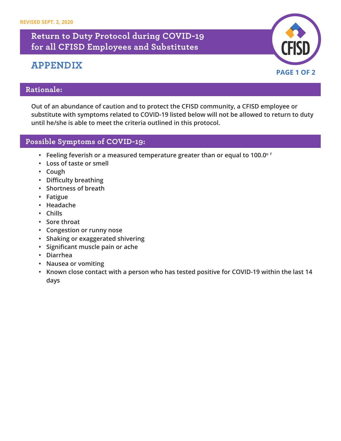## **Return to Duty Protocol during COVID-19 for all CFISD Employees and Substitutes**

# **APPENDIX**



#### **Rationale:**

**Out of an abundance of caution and to protect the CFISD community, a CFISD employee or substitute with symptoms related to COVID-19 listed below will not be allowed to return to duty until he/she is able to meet the criteria outlined in this protocol.** 

#### **Possible Symptoms of COVID-19:**

- **• Feeling feverish or a measured temperature greater than or equal to 100.0o <sup>F</sup>**
- **• Loss of taste or smell**
- **• Cough**
- **• Difficulty breathing**
- **• Shortness of breath**
- **• Fatigue**
- **• Headache**
- **• Chills**
- **• Sore throat**
- **• Congestion or runny nose**
- **• Shaking or exaggerated shivering**
- **• Significant muscle pain or ache**
- **• Diarrhea**
- **• Nausea or vomiting**
- **• Known close contact with a person who has tested positive for COVID-19 within the last 14 days**